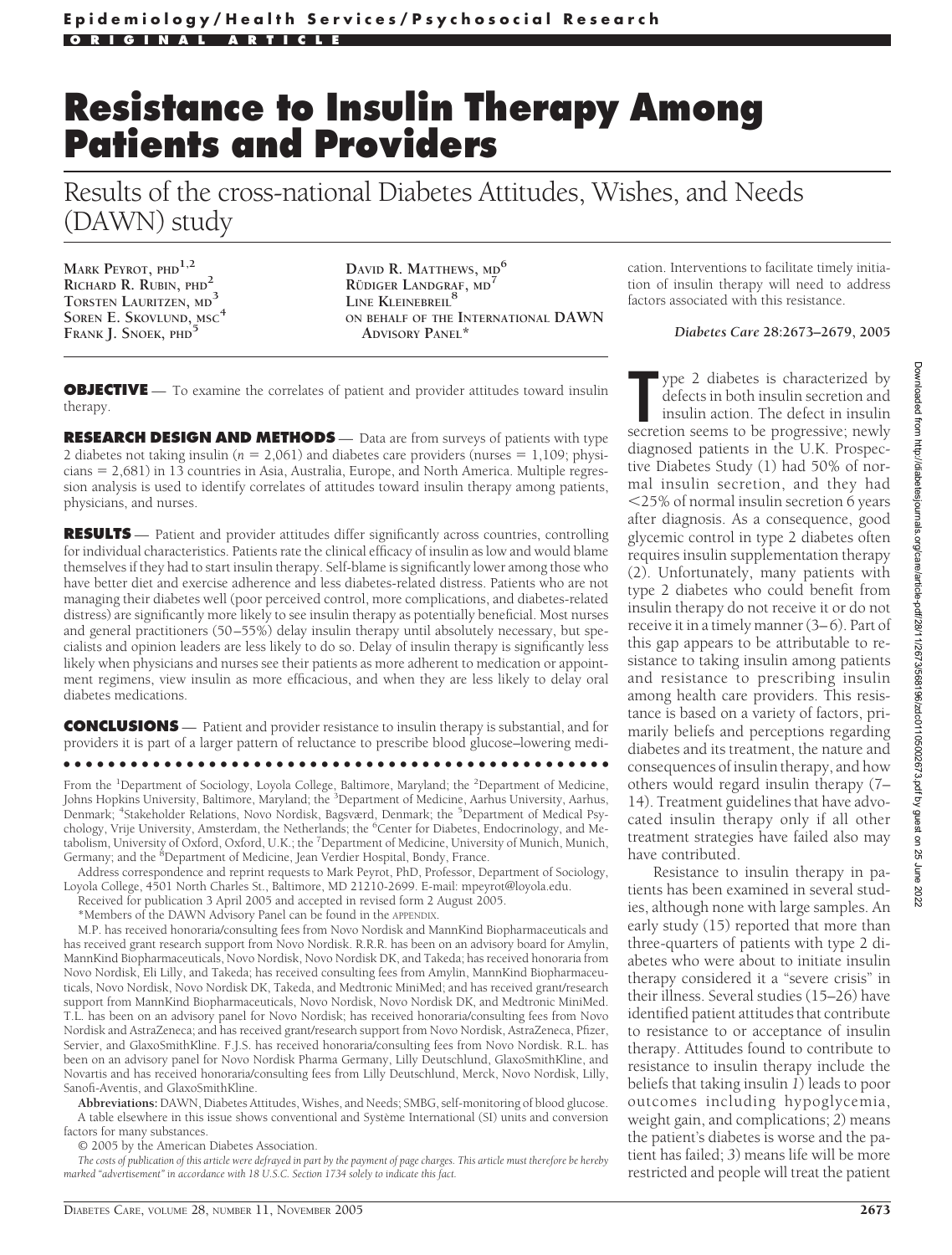# **Resistance to Insulin Therapy Among Patients and Providers**

Results of the cross-national Diabetes Attitudes, Wishes, and Needs (DAWN) study

**MARK PEYROT, PHD1,2 RICHARD R. RUBIN, PHD<sup>2</sup> TORSTEN LAURITZEN, MD<sup>3</sup> SOREN E. SKOVLUND, MSC<sup>4</sup> FRANK J. SNOEK, PHD<sup>5</sup>**

**DAVID R. MATTHEWS, MD<sup>6</sup> R¨UDIGER LANDGRAF, MD<sup>7</sup> LINE KLEINEBREIL<sup>8</sup> ON BEHALF OF THE INTERNATIONAL DAWN ADVISORY PANEL\***

**OBJECTIVE** — To examine the correlates of patient and provider attitudes toward insulin therapy.

**RESEARCH DESIGN AND METHODS** — Data are from surveys of patients with type 2 diabetes not taking insulin ( $n = 2,061$ ) and diabetes care providers (nurses  $= 1,109$ ; physi $cians = 2,681$  in 13 countries in Asia, Australia, Europe, and North America. Multiple regression analysis is used to identify correlates of attitudes toward insulin therapy among patients, physicians, and nurses.

**RESULTS** — Patient and provider attitudes differ significantly across countries, controlling for individual characteristics. Patients rate the clinical efficacy of insulin as low and would blame themselves if they had to start insulin therapy. Self-blame is significantly lower among those who have better diet and exercise adherence and less diabetes-related distress. Patients who are not managing their diabetes well (poor perceived control, more complications, and diabetes-related distress) are significantly more likely to see insulin therapy as potentially beneficial. Most nurses and general practitioners (50–55%) delay insulin therapy until absolutely necessary, but specialists and opinion leaders are less likely to do so. Delay of insulin therapy is significantly less likely when physicians and nurses see their patients as more adherent to medication or appointment regimens, view insulin as more efficacious, and when they are less likely to delay oral diabetes medications.

**CONCLUSIONS** — Patient and provider resistance to insulin therapy is substantial, and for providers it is part of a larger pattern of reluctance to prescribe blood glucose–lowering medi-

●●●●●●●●●●●●●●●●●●●●●●●●●●●●●●●●●●●●●●●●●●●●●●●●●

From the <sup>1</sup>Department of Sociology, Loyola College, Baltimore, Maryland; the <sup>2</sup>Department of Medicine,<br>Johns Hopkins University, Baltimore, Maryland; the <sup>3</sup>Department of Medicine, Aarhus University, Aarhus, Denmark; <sup>4</sup>Stakeholder Relations, Novo Nordisk, Bagsværd, Denmark; the <sup>5</sup>Department of Medical Psychology, Vrije University, Amsterdam, the Netherlands; the <sup>6</sup>Center for Diabetes, Endocrinology, and Metabolism, University of Oxford, Oxford, U.K.; the <sup>7</sup>Department of Medicine, University of Munich, Munich, Germany; and the <sup>8</sup>Department of Medicine, Jean Verdier Hospital, Bondy, France.

Address correspondence and reprint requests to Mark Peyrot, PhD, Professor, Department of Sociology, Loyola College, 4501 North Charles St., Baltimore, MD 21210-2699. E-mail: mpeyrot@loyola.edu.

Received for publication 3 April 2005 and accepted in revised form 2 August 2005.

\*Members of the DAWN Advisory Panel can be found in the APPENDIX.

M.P. has received honoraria/consulting fees from Novo Nordisk and MannKind Biopharmaceuticals and has received grant research support from Novo Nordisk. R.R.R. has been on an advisory board for Amylin, MannKind Biopharmaceuticals, Novo Nordisk, Novo Nordisk DK, and Takeda; has received honoraria from Novo Nordisk, Eli Lilly, and Takeda; has received consulting fees from Amylin, MannKind Biopharmaceuticals, Novo Nordisk, Novo Nordisk DK, Takeda, and Medtronic MiniMed; and has received grant/research support from MannKind Biopharmaceuticals, Novo Nordisk, Novo Nordisk DK, and Medtronic MiniMed. T.L. has been on an advisory panel for Novo Nordisk; has received honoraria/consulting fees from Novo Nordisk and AstraZeneca; and has received grant/research support from Novo Nordisk, AstraZeneca, Pfizer, Servier, and GlaxoSmithKline. F.J.S. has received honoraria/consulting fees from Novo Nordisk. R.L. has been on an advisory panel for Novo Nordisk Pharma Germany, Lilly Deutschlund, GlaxoSmithKline, and Novartis and has received honoraria/consulting fees from Lilly Deutschlund, Merck, Novo Nordisk, Lilly, Sanofi-Aventis, and GlaxoSmithKline.

**Abbreviations:** DAWN, Diabetes Attitudes, Wishes, and Needs; SMBG, self-monitoring of blood glucose. A table elsewhere in this issue shows conventional and Système International (SI) units and conversion factors for many substances.

© 2005 by the American Diabetes Association.

*The costs of publication of this article were defrayed in part by the payment of page charges. This article must therefore be hereby marked "advertisement" in accordance with 18 U.S.C. Section 1734 solely to indicate this fact.*

cation. Interventions to facilitate timely initiation of insulin therapy will need to address factors associated with this resistance.

*Diabetes Care* **28:2673–2679, 2005**

The secretion seems to be progressive; newly defects in both insulin secretion and insulin action. The defect in insulin secretion seems to be progressive; newly ype 2 diabetes is characterized by defects in both insulin secretion and insulin action. The defect in insulin diagnosed patients in the U.K. Prospective Diabetes Study (1) had 50% of normal insulin secretion, and they had -25% of normal insulin secretion 6 years after diagnosis. As a consequence, good glycemic control in type 2 diabetes often requires insulin supplementation therapy (2). Unfortunately, many patients with type 2 diabetes who could benefit from insulin therapy do not receive it or do not receive it in a timely manner (3–6). Part of this gap appears to be attributable to resistance to taking insulin among patients and resistance to prescribing insulin among health care providers. This resistance is based on a variety of factors, primarily beliefs and perceptions regarding diabetes and its treatment, the nature and consequences of insulin therapy, and how others would regard insulin therapy (7– 14). Treatment guidelines that have advocated insulin therapy only if all other treatment strategies have failed also may have contributed.

Resistance to insulin therapy in patients has been examined in several studies, although none with large samples. An early study (15) reported that more than three-quarters of patients with type 2 diabetes who were about to initiate insulin therapy considered it a "severe crisis" in their illness. Several studies (15–26) have identified patient attitudes that contribute to resistance to or acceptance of insulin therapy. Attitudes found to contribute to resistance to insulin therapy include the beliefs that taking insulin *1*) leads to poor outcomes including hypoglycemia, weight gain, and complications; *2*) means the patient's diabetes is worse and the patient has failed; *3*) means life will be more restricted and people will treat the patient

DIABETES CARE, VOLUME 28, NUMBER 11, NOVEMBER 2005 2673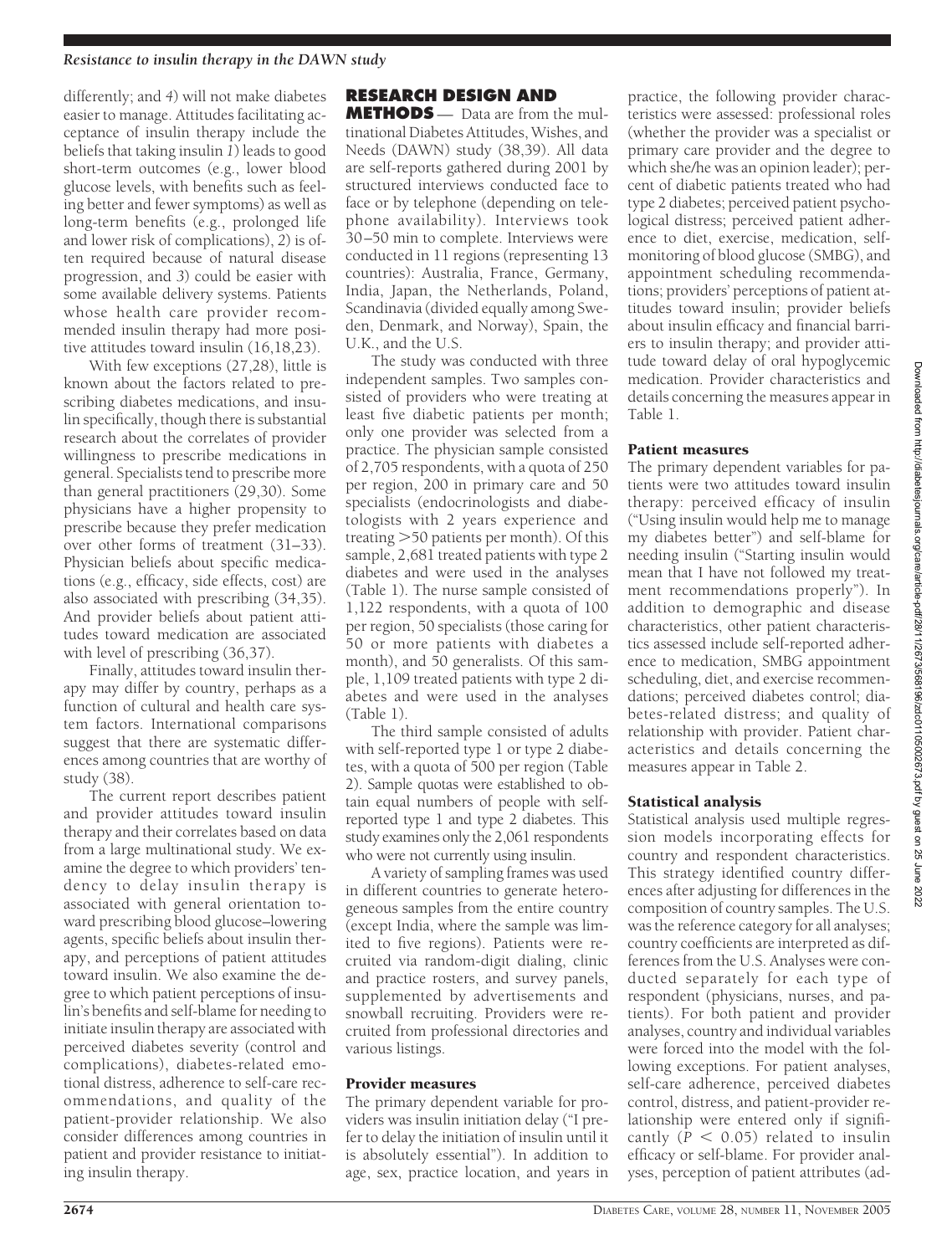### *Resistance to insulin therapy in the DAWN study*

differently; and *4*) will not make diabetes easier to manage. Attitudes facilitating acceptance of insulin therapy include the beliefs that taking insulin *1*) leads to good short-term outcomes (e.g., lower blood glucose levels, with benefits such as feeling better and fewer symptoms) as well as long-term benefits (e.g., prolonged life and lower risk of complications), *2*) is often required because of natural disease progression, and *3*) could be easier with some available delivery systems. Patients whose health care provider recommended insulin therapy had more positive attitudes toward insulin (16,18,23).

With few exceptions (27,28), little is known about the factors related to prescribing diabetes medications, and insulin specifically, though there is substantial research about the correlates of provider willingness to prescribe medications in general. Specialists tend to prescribe more than general practitioners (29,30). Some physicians have a higher propensity to prescribe because they prefer medication over other forms of treatment (31–33). Physician beliefs about specific medications (e.g., efficacy, side effects, cost) are also associated with prescribing (34,35). And provider beliefs about patient attitudes toward medication are associated with level of prescribing (36,37).

Finally, attitudes toward insulin therapy may differ by country, perhaps as a function of cultural and health care system factors. International comparisons suggest that there are systematic differences among countries that are worthy of study (38).

The current report describes patient and provider attitudes toward insulin therapy and their correlates based on data from a large multinational study. We examine the degree to which providers' tendency to delay insulin therapy is associated with general orientation toward prescribing blood glucose–lowering agents, specific beliefs about insulin therapy, and perceptions of patient attitudes toward insulin. We also examine the degree to which patient perceptions of insulin's benefits and self-blame for needing to initiate insulin therapy are associated with perceived diabetes severity (control and complications), diabetes-related emotional distress, adherence to self-care recommendations, and quality of the patient-provider relationship. We also consider differences among countries in patient and provider resistance to initiating insulin therapy.

# **RESEARCH DESIGN AND**

**METHODS** — Data are from the multinational Diabetes Attitudes, Wishes, and Needs (DAWN) study (38,39). All data are self-reports gathered during 2001 by structured interviews conducted face to face or by telephone (depending on telephone availability). Interviews took 30–50 min to complete. Interviews were conducted in 11 regions (representing 13 countries): Australia, France, Germany, India, Japan, the Netherlands, Poland, Scandinavia (divided equally among Sweden, Denmark, and Norway), Spain, the U.K., and the U.S.

The study was conducted with three independent samples. Two samples consisted of providers who were treating at least five diabetic patients per month; only one provider was selected from a practice. The physician sample consisted of 2,705 respondents, with a quota of 250 per region, 200 in primary care and 50 specialists (endocrinologists and diabetologists with 2 years experience and treating 50 patients per month). Of this sample, 2,681 treated patients with type 2 diabetes and were used in the analyses (Table 1). The nurse sample consisted of 1,122 respondents, with a quota of 100 per region, 50 specialists (those caring for 50 or more patients with diabetes a month), and 50 generalists. Of this sample, 1,109 treated patients with type 2 diabetes and were used in the analyses (Table 1).

The third sample consisted of adults with self-reported type 1 or type 2 diabetes, with a quota of 500 per region (Table 2). Sample quotas were established to obtain equal numbers of people with selfreported type 1 and type 2 diabetes. This study examines only the 2,061 respondents who were not currently using insulin.

A variety of sampling frames was used in different countries to generate heterogeneous samples from the entire country (except India, where the sample was limited to five regions). Patients were recruited via random-digit dialing, clinic and practice rosters, and survey panels, supplemented by advertisements and snowball recruiting. Providers were recruited from professional directories and various listings.

# Provider measures

The primary dependent variable for providers was insulin initiation delay ("I prefer to delay the initiation of insulin until it is absolutely essential"). In addition to age, sex, practice location, and years in

practice, the following provider characteristics were assessed: professional roles (whether the provider was a specialist or primary care provider and the degree to which she/he was an opinion leader); percent of diabetic patients treated who had type 2 diabetes; perceived patient psychological distress; perceived patient adherence to diet, exercise, medication, selfmonitoring of blood glucose (SMBG), and appointment scheduling recommendations; providers' perceptions of patient attitudes toward insulin; provider beliefs about insulin efficacy and financial barriers to insulin therapy; and provider attitude toward delay of oral hypoglycemic medication. Provider characteristics and details concerning the measures appear in Table 1.

#### Patient measures

The primary dependent variables for patients were two attitudes toward insulin therapy: perceived efficacy of insulin ("Using insulin would help me to manage my diabetes better") and self-blame for needing insulin ("Starting insulin would mean that I have not followed my treatment recommendations properly"). In addition to demographic and disease characteristics, other patient characteristics assessed include self-reported adherence to medication, SMBG appointment scheduling, diet, and exercise recommendations; perceived diabetes control; diabetes-related distress; and quality of relationship with provider. Patient characteristics and details concerning the measures appear in Table 2.

# Statistical analysis

Statistical analysis used multiple regression models incorporating effects for country and respondent characteristics. This strategy identified country differences after adjusting for differences in the composition of country samples. The U.S. was the reference category for all analyses; country coefficients are interpreted as differences from the U.S. Analyses were conducted separately for each type of respondent (physicians, nurses, and patients). For both patient and provider analyses, country and individual variables were forced into the model with the following exceptions. For patient analyses, self-care adherence, perceived diabetes control, distress, and patient-provider relationship were entered only if significantly  $(P < 0.05)$  related to insulin efficacy or self-blame. For provider analyses, perception of patient attributes (ad-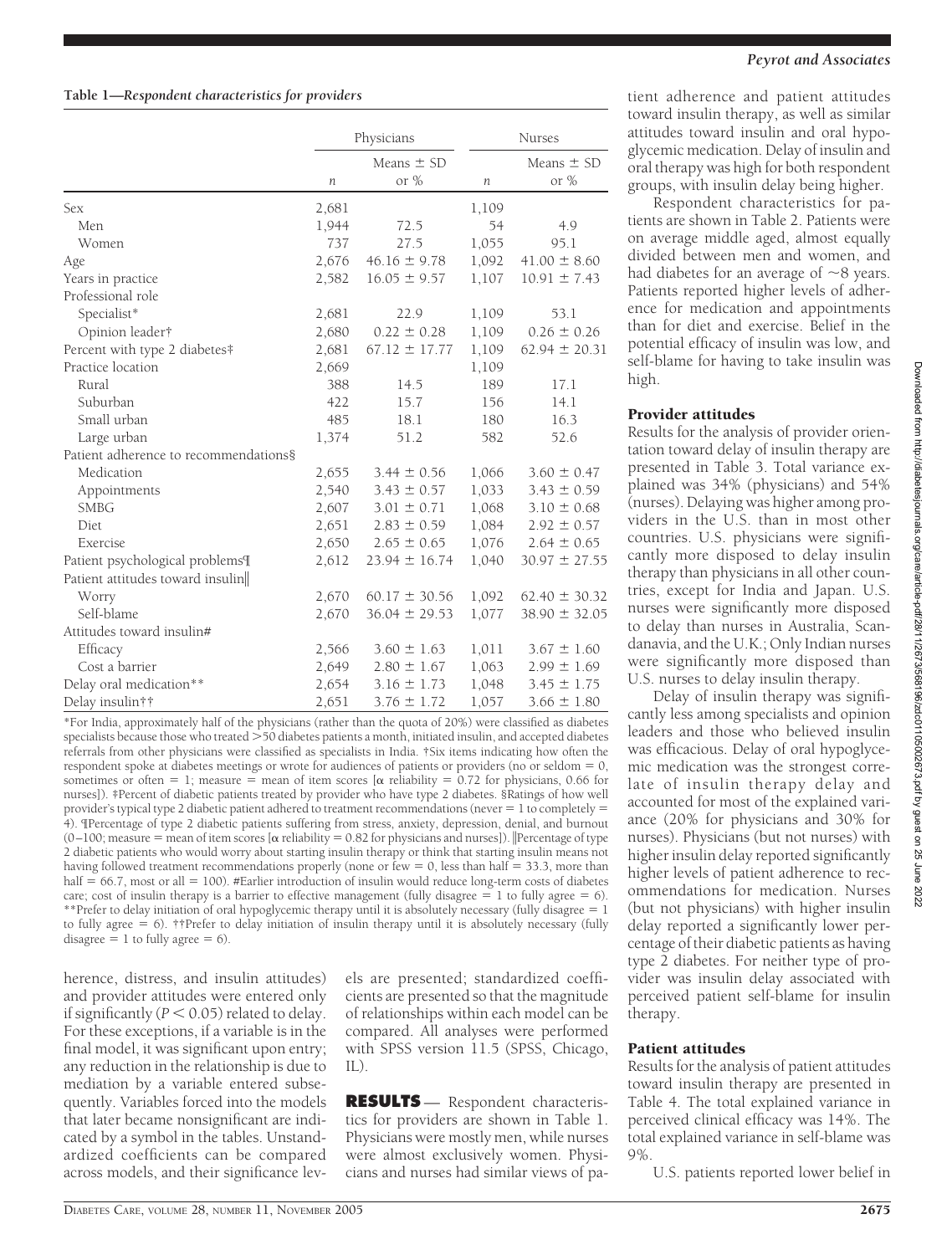#### **Table 1—***Respondent characteristics for providers*

|                                       | Physicians |                   | <b>Nurses</b>    |                   |
|---------------------------------------|------------|-------------------|------------------|-------------------|
|                                       |            | Means $\pm$ SD    |                  | Means $\pm$ SD    |
|                                       | n          | or $%$            | $\boldsymbol{n}$ | or %              |
| Sex                                   | 2,681      |                   | 1,109            |                   |
| Men                                   | 1,944      | 72.5              | 54               | 4.9               |
| Women                                 | 737        | 27.5              | 1,055            | 95.1              |
| Age                                   | 2,676      | $46.16 \pm 9.78$  | 1,092            | $41.00 \pm 8.60$  |
| Years in practice                     | 2,582      | $16.05 \pm 9.57$  | 1,107            | $10.91 \pm 7.43$  |
| Professional role                     |            |                   |                  |                   |
| Specialist*                           | 2,681      | 22.9              | 1,109            | 53.1              |
| Opinion leader†                       | 2,680      | $0.22 \pm 0.28$   | 1,109            | $0.26 \pm 0.26$   |
| Percent with type 2 diabetes#         | 2,681      | $67.12 \pm 17.77$ | 1,109            | $62.94 \pm 20.31$ |
| Practice location                     | 2,669      |                   | 1,109            |                   |
| Rural                                 | 388        | 14.5              | 189              | 17.1              |
| Suburban                              | 422        | 15.7              | 156              | 14.1              |
| Small urban                           | 485        | 18.1              | 180              | 16.3              |
| Large urban                           | 1,374      | 51.2              | 582              | 52.6              |
| Patient adherence to recommendations§ |            |                   |                  |                   |
| Medication                            | 2,655      | $3.44 \pm 0.56$   | 1,066            | $3.60 \pm 0.47$   |
| Appointments                          | 2,540      | $3.43 \pm 0.57$   | 1,033            | $3.43 \pm 0.59$   |
| <b>SMBG</b>                           | 2,607      | $3.01 \pm 0.71$   | 1,068            | $3.10 \pm 0.68$   |
| Diet                                  | 2,651      | $2.83 \pm 0.59$   | 1,084            | $2.92 \pm 0.57$   |
| Exercise                              | 2,650      | $2.65 \pm 0.65$   | 1,076            | $2.64 \pm 0.65$   |
| Patient psychological problems¶       | 2,612      | $23.94 \pm 16.74$ | 1,040            | $30.97 \pm 27.55$ |
| Patient attitudes toward insulin      |            |                   |                  |                   |
| Worry                                 | 2,670      | $60.17 \pm 30.56$ | 1,092            | $62.40 \pm 30.32$ |
| Self-blame                            | 2,670      | $36.04 \pm 29.53$ | 1,077            | $38.90 \pm 32.05$ |
| Attitudes toward insulin#             |            |                   |                  |                   |
| Efficacy                              | 2,566      | $3.60 \pm 1.63$   | 1,011            | $3.67 \pm 1.60$   |
| Cost a barrier                        | 2,649      | $2.80 \pm 1.67$   | 1,063            | $2.99 \pm 1.69$   |
| Delay oral medication**               | 2,654      | $3.16 \pm 1.73$   | 1,048            | $3.45 \pm 1.75$   |
| Delay insulin††                       | 2,651      | $3.76 \pm 1.72$   | 1,057            | $3.66 \pm 1.80$   |

\*For India, approximately half of the physicians (rather than the quota of 20%) were classified as diabetes specialists because those who treated  $>$  50 diabetes patients a month, initiated insulin, and accepted diabetes referrals from other physicians were classified as specialists in India. †Six items indicating how often the respondent spoke at diabetes meetings or wrote for audiences of patients or providers (no or seldom  $= 0$ , sometimes or often = 1; measure = mean of item scores [ $\alpha$  reliability = 0.72 for physicians, 0.66 for nurses]). ‡Percent of diabetic patients treated by provider who have type 2 diabetes. §Ratings of how well provider's typical type 2 diabetic patient adhered to treatment recommendations (never  $= 1$  to completely  $=$ 4). ¶Percentage of type 2 diabetic patients suffering from stress, anxiety, depression, denial, and burnout (0–100; measure  $=$  mean of item scores [ $\alpha$  reliability  $=$  0.82 for physicians and nurses]). |Percentage of type 2 diabetic patients who would worry about starting insulin therapy or think that starting insulin means not having followed treatment recommendations properly (none or few  $= 0$ , less than half  $= 33.3$ , more than half  $= 66.7$ , most or all  $= 100$ ). #Earlier introduction of insulin would reduce long-term costs of diabetes care; cost of insulin therapy is a barrier to effective management (fully disagree  $= 1$  to fully agree  $= 6$ ). \*\*Prefer to delay initiation of oral hypoglycemic therapy until it is absolutely necessary (fully disagree  $= 1$ to fully agree  $= 6$ ). ††Prefer to delay initiation of insulin therapy until it is absolutely necessary (fully disagree  $= 1$  to fully agree  $= 6$ ).

herence, distress, and insulin attitudes) and provider attitudes were entered only if significantly  $(P < 0.05)$  related to delay. For these exceptions, if a variable is in the final model, it was significant upon entry; any reduction in the relationship is due to mediation by a variable entered subsequently. Variables forced into the models that later became nonsignificant are indicated by a symbol in the tables. Unstandardized coefficients can be compared across models, and their significance lev-

els are presented; standardized coefficients are presented so that the magnitude of relationships within each model can be compared. All analyses were performed with SPSS version 11.5 (SPSS, Chicago,  $\prod$ ).

**RESULTS** — Respondent characteristics for providers are shown in Table 1. Physicians were mostly men, while nurses were almost exclusively women. Physicians and nurses had similar views of pa-

#### *Peyrot and Associates*

tient adherence and patient attitudes toward insulin therapy, as well as similar attitudes toward insulin and oral hypoglycemic medication. Delay of insulin and oral therapy was high for both respondent groups, with insulin delay being higher.

Respondent characteristics for patients are shown in Table 2. Patients were on average middle aged, almost equally divided between men and women, and had diabetes for an average of  $\sim$ 8 years. Patients reported higher levels of adherence for medication and appointments than for diet and exercise. Belief in the potential efficacy of insulin was low, and self-blame for having to take insulin was high.

# Provider attitudes

Results for the analysis of provider orientation toward delay of insulin therapy are presented in Table 3. Total variance explained was 34% (physicians) and 54% (nurses). Delaying was higher among providers in the U.S. than in most other countries. U.S. physicians were significantly more disposed to delay insulin therapy than physicians in all other countries, except for India and Japan. U.S. nurses were significantly more disposed to delay than nurses in Australia, Scandanavia, and the U.K.; Only Indian nurses were significantly more disposed than U.S. nurses to delay insulin therapy.

Delay of insulin therapy was significantly less among specialists and opinion leaders and those who believed insulin was efficacious. Delay of oral hypoglycemic medication was the strongest correlate of insulin therapy delay and accounted for most of the explained variance (20% for physicians and 30% for nurses). Physicians (but not nurses) with higher insulin delay reported significantly higher levels of patient adherence to recommendations for medication. Nurses (but not physicians) with higher insulin delay reported a significantly lower percentage of their diabetic patients as having type 2 diabetes. For neither type of provider was insulin delay associated with perceived patient self-blame for insulin therapy.

# Patient attitudes

Results for the analysis of patient attitudes toward insulin therapy are presented in Table 4. The total explained variance in perceived clinical efficacy was 14%. The total explained variance in self-blame was  $Q\%$ 

U.S. patients reported lower belief in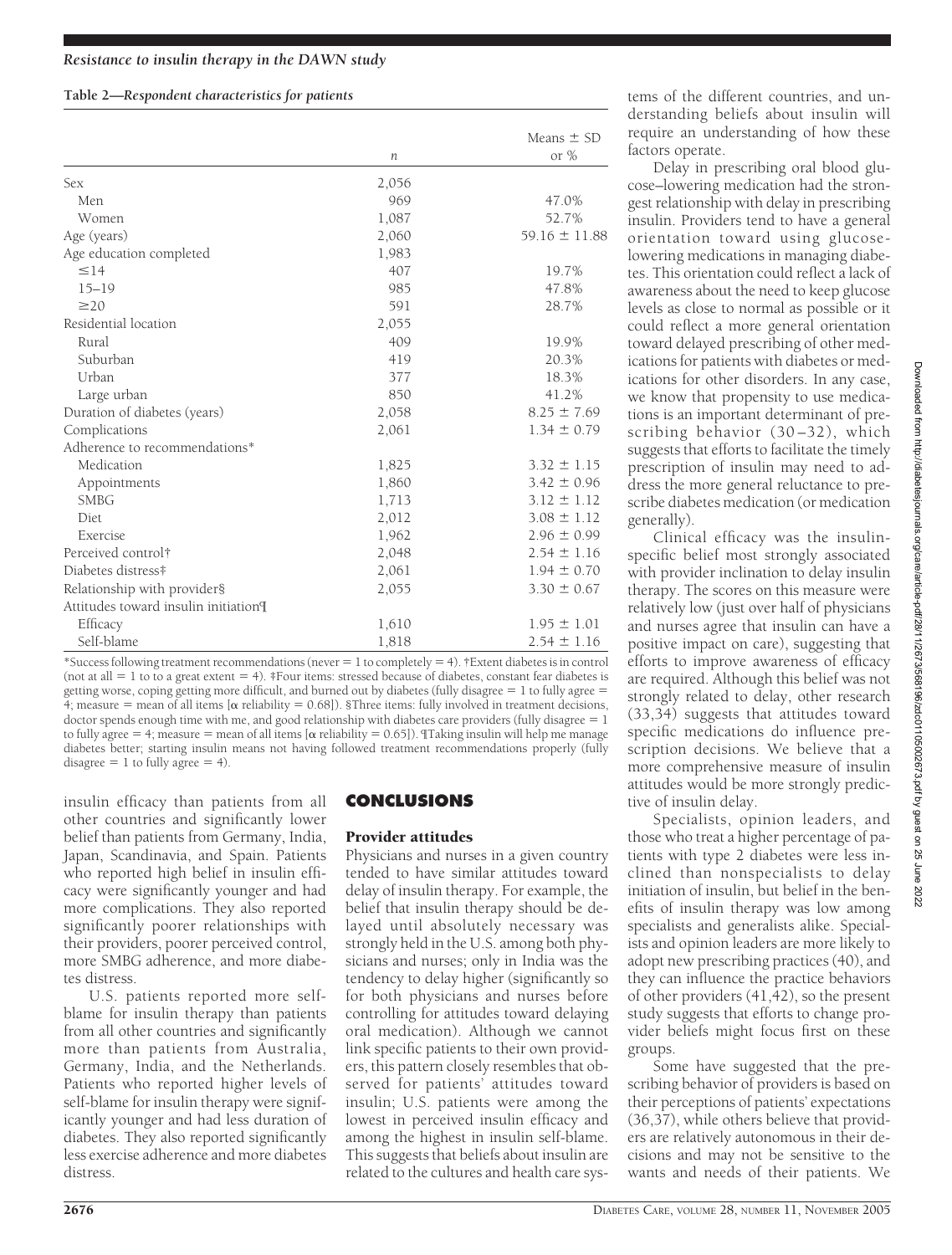# **Table 2—***Respondent characteristics for patients*

|                                      |       | Means $\pm$ SD    |
|--------------------------------------|-------|-------------------|
|                                      | n     | or $%$            |
| <b>Sex</b>                           | 2,056 |                   |
| Men                                  | 969   | 47.0%             |
| Women                                | 1,087 | 52.7%             |
| Age (years)                          | 2,060 | $59.16 \pm 11.88$ |
| Age education completed              | 1,983 |                   |
| $\leq$ 14                            | 407   | 19.7%             |
| $15 - 19$                            | 985   | 47.8%             |
| $\geq$ 20                            | 591   | 28.7%             |
| Residential location                 | 2,055 |                   |
| Rural                                | 409   | 19.9%             |
| Suburban                             | 419   | 20.3%             |
| Urban                                | 377   | 18.3%             |
| Large urban                          | 850   | 41.2%             |
| Duration of diabetes (years)         | 2,058 | $8.25 \pm 7.69$   |
| Complications                        | 2,061 | $1.34 \pm 0.79$   |
| Adherence to recommendations*        |       |                   |
| Medication                           | 1,825 | $3.32 \pm 1.15$   |
| Appointments                         | 1,860 | $3.42 \pm 0.96$   |
| <b>SMBG</b>                          | 1,713 | $3.12 \pm 1.12$   |
| Diet                                 | 2,012 | $3.08 \pm 1.12$   |
| <b>Exercise</b>                      | 1,962 | $2.96 \pm 0.99$   |
| Perceived control <sup>†</sup>       | 2,048 | $2.54 \pm 1.16$   |
| Diabetes distress#                   | 2,061 | $1.94 \pm 0.70$   |
| Relationship with provider§          | 2,055 | $3.30 \pm 0.67$   |
| Attitudes toward insulin initiation¶ |       |                   |
| Efficacy                             | 1,610 | $1.95 \pm 1.01$   |
| Self-blame                           | 1,818 | $2.54 \pm 1.16$   |

\*Success following treatment recommendations (never  $= 1$  to completely  $= 4$ ). †Extent diabetes is in control (not at all  $= 1$  to to a great extent  $= 4$ ). ‡Four items: stressed because of diabetes, constant fear diabetes is getting worse, coping getting more difficult, and burned out by diabetes (fully disagree  $= 1$  to fully agree  $=$  $4$ ; measure = mean of all items [ $\alpha$  reliability = 0.68]). §Three items: fully involved in treatment decisions, doctor spends enough time with me, and good relationship with diabetes care providers (fully disagree  $= 1$ to fully agree  $= 4$ ; measure  $=$  mean of all items [ $\alpha$  reliability  $= 0.65$ ]). Taking insulin will help me manage diabetes better; starting insulin means not having followed treatment recommendations properly (fully disagree  $= 1$  to fully agree  $= 4$ ).

insulin efficacy than patients from all other countries and significantly lower belief than patients from Germany, India, Japan, Scandinavia, and Spain. Patients who reported high belief in insulin efficacy were significantly younger and had more complications. They also reported significantly poorer relationships with their providers, poorer perceived control, more SMBG adherence, and more diabetes distress.

U.S. patients reported more selfblame for insulin therapy than patients from all other countries and significantly more than patients from Australia, Germany, India, and the Netherlands. Patients who reported higher levels of self-blame for insulin therapy were significantly younger and had less duration of diabetes. They also reported significantly less exercise adherence and more diabetes distress.

# **CONCLUSIONS**

# Provider attitudes

Physicians and nurses in a given country tended to have similar attitudes toward delay of insulin therapy. For example, the belief that insulin therapy should be delayed until absolutely necessary was strongly held in the U.S. among both physicians and nurses; only in India was the tendency to delay higher (significantly so for both physicians and nurses before controlling for attitudes toward delaying oral medication). Although we cannot link specific patients to their own providers, this pattern closely resembles that observed for patients' attitudes toward insulin; U.S. patients were among the lowest in perceived insulin efficacy and among the highest in insulin self-blame. This suggests that beliefs about insulin are related to the cultures and health care systems of the different countries, and understanding beliefs about insulin will require an understanding of how these factors operate.

Delay in prescribing oral blood glucose–lowering medication had the strongest relationship with delay in prescribing insulin. Providers tend to have a general orientation toward using glucoselowering medications in managing diabetes. This orientation could reflect a lack of awareness about the need to keep glucose levels as close to normal as possible or it could reflect a more general orientation toward delayed prescribing of other medications for patients with diabetes or medications for other disorders. In any case, we know that propensity to use medications is an important determinant of prescribing behavior (30–32), which suggests that efforts to facilitate the timely prescription of insulin may need to address the more general reluctance to prescribe diabetes medication (or medication generally).

Clinical efficacy was the insulinspecific belief most strongly associated with provider inclination to delay insulin therapy. The scores on this measure were relatively low (just over half of physicians and nurses agree that insulin can have a positive impact on care), suggesting that efforts to improve awareness of efficacy are required. Although this belief was not strongly related to delay, other research (33,34) suggests that attitudes toward specific medications do influence prescription decisions. We believe that a more comprehensive measure of insulin attitudes would be more strongly predictive of insulin delay.

Specialists, opinion leaders, and those who treat a higher percentage of patients with type 2 diabetes were less inclined than nonspecialists to delay initiation of insulin, but belief in the benefits of insulin therapy was low among specialists and generalists alike. Specialists and opinion leaders are more likely to adopt new prescribing practices (40), and they can influence the practice behaviors of other providers (41,42), so the present study suggests that efforts to change provider beliefs might focus first on these groups.

Some have suggested that the prescribing behavior of providers is based on their perceptions of patients' expectations (36,37), while others believe that providers are relatively autonomous in their decisions and may not be sensitive to the wants and needs of their patients. We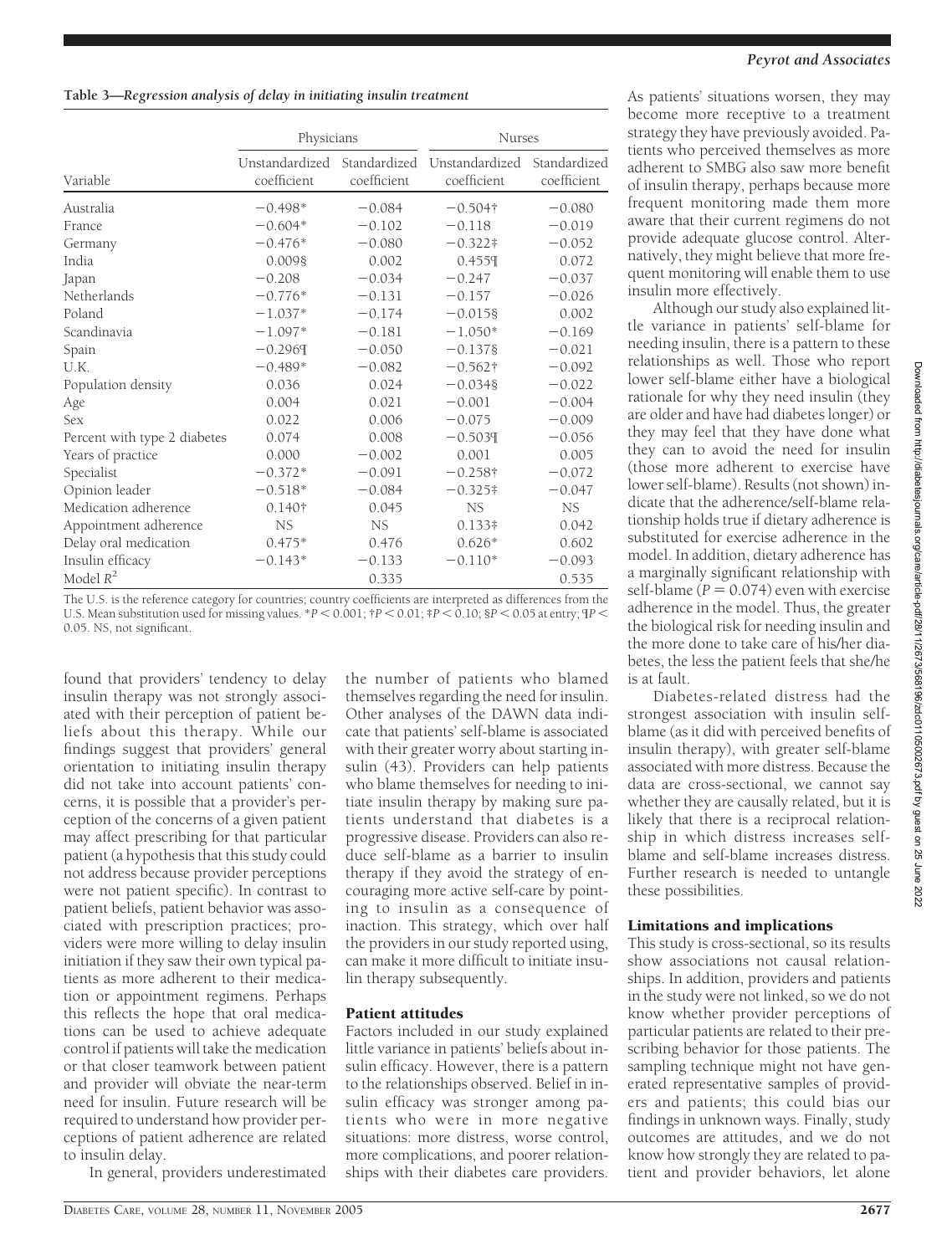### **Table 3—***Regression analysis of delay in initiating insulin treatment*

|                              | Physicians  |             | <b>Nurses</b>                                             |                             |  |
|------------------------------|-------------|-------------|-----------------------------------------------------------|-----------------------------|--|
| Variable                     | coefficient | coefficient | Unstandardized Standardized Unstandardized<br>coefficient | Standardized<br>coefficient |  |
| Australia                    | $-0.498*$   | $-0.084$    | $-0.504$ †                                                | $-0.080$                    |  |
| <b>France</b>                | $-0.604*$   | $-0.102$    | $-0.118$                                                  | $-0.019$                    |  |
| Germany                      | $-0.476*$   | $-0.080$    | $-0.322*$                                                 | $-0.052$                    |  |
| India                        | 0.0098      | 0.002       | 0.4559                                                    | 0.072                       |  |
| Japan                        | $-0.208$    | $-0.034$    | $-0.247$                                                  | $-0.037$                    |  |
| Netherlands                  | $-0.776*$   | $-0.131$    | $-0.157$                                                  | $-0.026$                    |  |
| Poland                       | $-1.037*$   | $-0.174$    | $-0.0158$                                                 | 0.002                       |  |
| Scandinavia                  | $-1.097*$   | $-0.181$    | $-1.050*$                                                 | $-0.169$                    |  |
| Spain                        | $-0.2969$   | $-0.050$    | $-0.1378$                                                 | $-0.021$                    |  |
| U.K.                         | $-0.489*$   | $-0.082$    | $-0.562\dagger$                                           | $-0.092$                    |  |
| Population density           | 0.036       | 0.024       | $-0.0348$                                                 | $-0.022$                    |  |
| Age                          | 0.004       | 0.021       | $-0.001$                                                  | $-0.004$                    |  |
| <b>Sex</b>                   | 0.022       | 0.006       | $-0.075$                                                  | $-0.009$                    |  |
| Percent with type 2 diabetes | 0.074       | 0.008       | $-0.5039$                                                 | $-0.056$                    |  |
| Years of practice            | 0.000       | $-0.002$    | 0.001                                                     | 0.005                       |  |
| Specialist                   | $-0.372*$   | $-0.091$    | $-0.258\dagger$                                           | $-0.072$                    |  |
| Opinion leader               | $-0.518*$   | $-0.084$    | $-0.325*$                                                 | $-0.047$                    |  |
| Medication adherence         | 0.140†      | 0.045       | NS.                                                       | NS                          |  |
| Appointment adherence        | NS.         | NS.         | $0.133*$                                                  | 0.042                       |  |
| Delay oral medication        | $0.475*$    | 0.476       | $0.626*$                                                  | 0.602                       |  |
| Insulin efficacy             | $-0.143*$   | $-0.133$    | $-0.110*$                                                 | $-0.093$                    |  |
| Model $R^2$                  |             | 0.335       |                                                           | 0.535                       |  |

The U.S. is the reference category for countries; country coefficients are interpreted as differences from the U.S. Mean substitution used for missing values.  ${}^{*}P$   $<$  0.001;  ${}^{*}P$   $<$  0.01;  ${}^{*}P$   $<$  0.10;  ${}^{8}P$   $<$  0.05 at entry;  ${}^{q}P$   $<$ 0.05. NS, not significant.

found that providers' tendency to delay insulin therapy was not strongly associated with their perception of patient beliefs about this therapy. While our findings suggest that providers' general orientation to initiating insulin therapy did not take into account patients' concerns, it is possible that a provider's perception of the concerns of a given patient may affect prescribing for that particular patient (a hypothesis that this study could not address because provider perceptions were not patient specific). In contrast to patient beliefs, patient behavior was associated with prescription practices; providers were more willing to delay insulin initiation if they saw their own typical patients as more adherent to their medication or appointment regimens. Perhaps this reflects the hope that oral medications can be used to achieve adequate control if patients will take the medication or that closer teamwork between patient and provider will obviate the near-term need for insulin. Future research will be required to understand how provider perceptions of patient adherence are related to insulin delay.

In general, providers underestimated

the number of patients who blamed themselves regarding the need for insulin. Other analyses of the DAWN data indicate that patients' self-blame is associated with their greater worry about starting insulin (43). Providers can help patients who blame themselves for needing to initiate insulin therapy by making sure patients understand that diabetes is a progressive disease. Providers can also reduce self-blame as a barrier to insulin therapy if they avoid the strategy of encouraging more active self-care by pointing to insulin as a consequence of inaction. This strategy, which over half the providers in our study reported using, can make it more difficult to initiate insulin therapy subsequently.

# Patient attitudes

Factors included in our study explained little variance in patients' beliefs about insulin efficacy. However, there is a pattern to the relationships observed. Belief in insulin efficacy was stronger among patients who were in more negative situations: more distress, worse control, more complications, and poorer relationships with their diabetes care providers.

#### *Peyrot and Associates*

As patients' situations worsen, they may become more receptive to a treatment strategy they have previously avoided. Patients who perceived themselves as more adherent to SMBG also saw more benefit of insulin therapy, perhaps because more frequent monitoring made them more aware that their current regimens do not provide adequate glucose control. Alternatively, they might believe that more frequent monitoring will enable them to use insulin more effectively.

Although our study also explained little variance in patients' self-blame for needing insulin, there is a pattern to these relationships as well. Those who report lower self-blame either have a biological rationale for why they need insulin (they are older and have had diabetes longer) or they may feel that they have done what they can to avoid the need for insulin (those more adherent to exercise have lower self-blame). Results (not shown) indicate that the adherence/self-blame relationship holds true if dietary adherence is substituted for exercise adherence in the model. In addition, dietary adherence has a marginally significant relationship with self-blame  $(P = 0.074)$  even with exercise adherence in the model. Thus, the greater the biological risk for needing insulin and the more done to take care of his/her diabetes, the less the patient feels that she/he is at fault.

Diabetes-related distress had the strongest association with insulin selfblame (as it did with perceived benefits of insulin therapy), with greater self-blame associated with more distress. Because the data are cross-sectional, we cannot say whether they are causally related, but it is likely that there is a reciprocal relationship in which distress increases selfblame and self-blame increases distress. Further research is needed to untangle these possibilities.

# Limitations and implications

This study is cross-sectional, so its results show associations not causal relationships. In addition, providers and patients in the study were not linked, so we do not know whether provider perceptions of particular patients are related to their prescribing behavior for those patients. The sampling technique might not have generated representative samples of providers and patients; this could bias our findings in unknown ways. Finally, study outcomes are attitudes, and we do not know how strongly they are related to patient and provider behaviors, let alone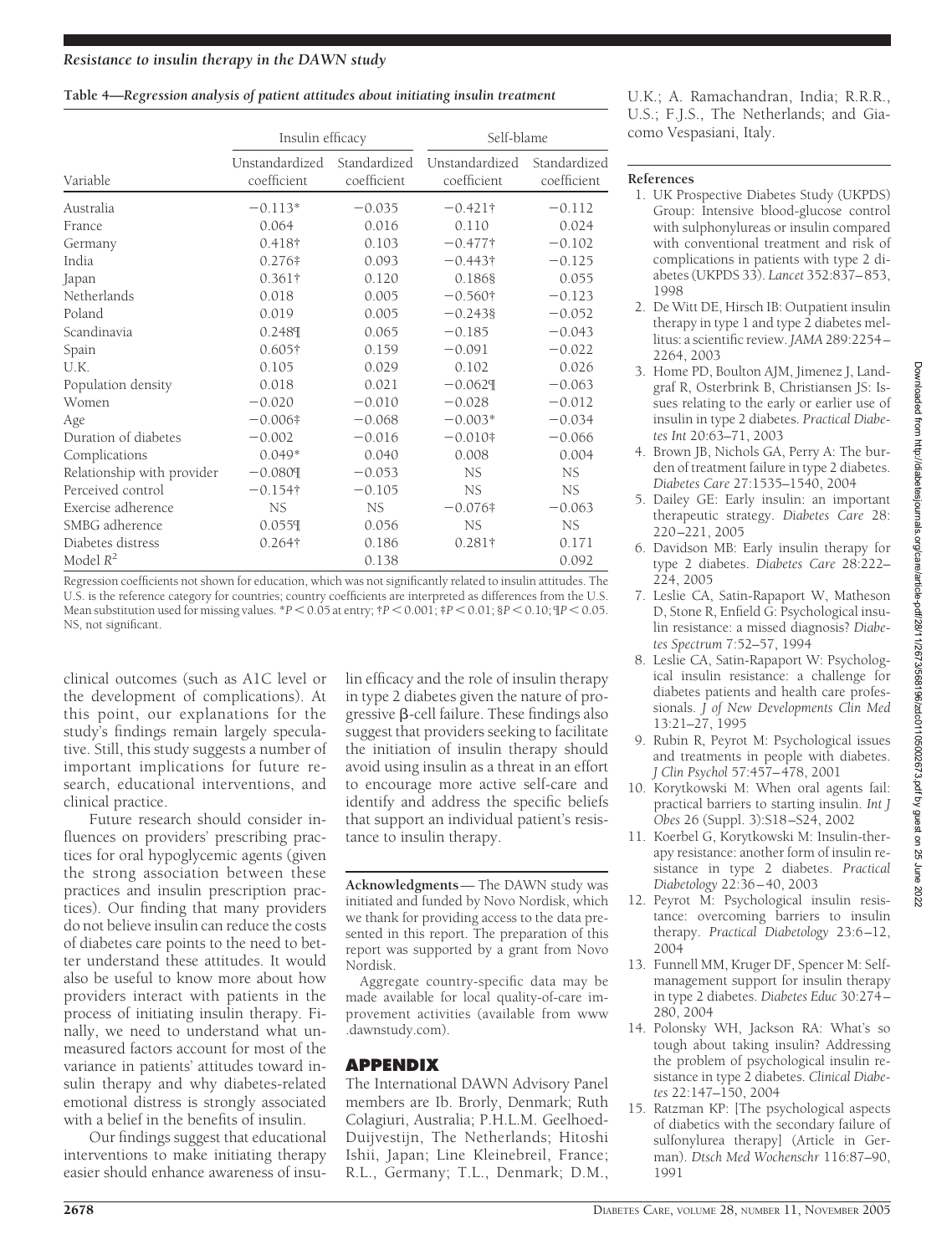### **Table 4—***Regression analysis of patient attitudes about initiating insulin treatment*

|                            | Insulin efficacy              |                             | Self-blame                    |                             |  |
|----------------------------|-------------------------------|-----------------------------|-------------------------------|-----------------------------|--|
| Variable                   | Unstandardized<br>coefficient | Standardized<br>coefficient | Unstandardized<br>coefficient | Standardized<br>coefficient |  |
| Australia                  | $-0.113*$                     | $-0.035$                    | $-0.421\dagger$               | $-0.112$                    |  |
| France                     | 0.064                         | 0.016                       | 0.110                         | 0.024                       |  |
| Germany                    | 0.418†                        | 0.103                       | $-0.477$ †                    | $-0.102$                    |  |
| India                      | $0.276*$                      | 0.093                       | $-0.443\dagger$               | $-0.125$                    |  |
| Japan                      | $0.361\dagger$                | 0.120                       | 0.1868                        | 0.055                       |  |
| Netherlands                | 0.018                         | 0.005                       | $-0.560\dagger$               | $-0.123$                    |  |
| Poland                     | 0.019                         | 0.005                       | $-0.2438$                     | $-0.052$                    |  |
| Scandinavia                | 0.2489                        | 0.065                       | $-0.185$                      | $-0.043$                    |  |
| Spain                      | $0.605\dagger$                | 0.159                       | $-0.091$                      | $-0.022$                    |  |
| U.K.                       | 0.105                         | 0.029                       | 0.102                         | 0.026                       |  |
| Population density         | 0.018                         | 0.021                       | $-0.0629$                     | $-0.063$                    |  |
| Women                      | $-0.020$                      | $-0.010$                    | $-0.028$                      | $-0.012$                    |  |
| Age                        | $-0.006$ †                    | $-0.068$                    | $-0.003*$                     | $-0.034$                    |  |
| Duration of diabetes       | $-0.002$                      | $-0.016$                    | $-0.010$ †                    | $-0.066$                    |  |
| Complications              | $0.049*$                      | 0.040                       | 0.008                         | 0.004                       |  |
| Relationship with provider | $-0.0809$                     | $-0.053$                    | NS                            | NS.                         |  |
| Perceived control          | $-0.154$ †                    | $-0.105$                    | NS.                           | NS.                         |  |
| Exercise adherence         | <b>NS</b>                     | NS.                         | $-0.076$ $\ddagger$           | $-0.063$                    |  |
| SMBG adherence             | 0.0559                        | 0.056                       | <b>NS</b>                     | NS                          |  |
| Diabetes distress          | $0.264\dagger$                | 0.186                       | $0.281\dagger$                | 0.171                       |  |
| Model $R^2$                |                               | 0.138                       |                               | 0.092                       |  |

Regression coefficients not shown for education, which was not significantly related to insulin attitudes. The U.S. is the reference category for countries; country coefficients are interpreted as differences from the U.S. Mean substitution used for missing values. \**P* < 0.05 at entry; †*P* < 0.001; ‡*P* < 0.01; §*P* < 0.10; ¶*P* < 0.05. NS, not significant.

clinical outcomes (such as A1C level or the development of complications). At this point, our explanations for the study's findings remain largely speculative. Still, this study suggests a number of important implications for future research, educational interventions, and clinical practice.

Future research should consider influences on providers' prescribing practices for oral hypoglycemic agents (given the strong association between these practices and insulin prescription practices). Our finding that many providers do not believe insulin can reduce the costs of diabetes care points to the need to better understand these attitudes. It would also be useful to know more about how providers interact with patients in the process of initiating insulin therapy. Finally, we need to understand what unmeasured factors account for most of the variance in patients' attitudes toward insulin therapy and why diabetes-related emotional distress is strongly associated with a belief in the benefits of insulin.

Our findings suggest that educational interventions to make initiating therapy easier should enhance awareness of insulin efficacy and the role of insulin therapy in type 2 diabetes given the nature of progressive  $\beta$ -cell failure. These findings also suggest that providers seeking to facilitate the initiation of insulin therapy should avoid using insulin as a threat in an effort to encourage more active self-care and identify and address the specific beliefs that support an individual patient's resistance to insulin therapy.

**Acknowledgments**— The DAWN study was initiated and funded by Novo Nordisk, which we thank for providing access to the data presented in this report. The preparation of this report was supported by a grant from Novo Nordisk.

Aggregate country-specific data may be made available for local quality-of-care improvement activities (available from www .dawnstudy.com).

# **APPENDIX**

The International DAWN Advisory Panel members are Ib. Brorly, Denmark; Ruth Colagiuri, Australia; P.H.L.M. Geelhoed-Duijvestijn, The Netherlands; Hitoshi Ishii, Japan; Line Kleinebreil, France; R.L., Germany; T.L., Denmark; D.M.,

U.K.; A. Ramachandran, India; R.R.R., U.S.; F.J.S., The Netherlands; and Giacomo Vespasiani, Italy.

# **References**

- 1. UK Prospective Diabetes Study (UKPDS) Group: Intensive blood-glucose control with sulphonylureas or insulin compared with conventional treatment and risk of complications in patients with type 2 diabetes (UKPDS 33). *Lancet* 352:837–853, 1998
- 2. De Witt DE, Hirsch IB: Outpatient insulin therapy in type 1 and type 2 diabetes mellitus: a scientific review. *JAMA* 289:2254– 2264, 2003
- 3. Home PD, Boulton AJM, Jimenez J, Landgraf R, Osterbrink B, Christiansen JS: Issues relating to the early or earlier use of insulin in type 2 diabetes. *Practical Diabetes Int* 20:63–71, 2003
- 4. Brown JB, Nichols GA, Perry A: The burden of treatment failure in type 2 diabetes. *Diabetes Care* 27:1535–1540, 2004
- 5. Dailey GE: Early insulin: an important therapeutic strategy. *Diabetes Care* 28: 220–221, 2005
- 6. Davidson MB: Early insulin therapy for type 2 diabetes. *Diabetes Care* 28:222– 224, 2005
- 7. Leslie CA, Satin-Rapaport W, Matheson D, Stone R, Enfield G: Psychological insulin resistance: a missed diagnosis? *Diabetes Spectrum* 7:52–57, 1994
- 8. Leslie CA, Satin-Rapaport W: Psychological insulin resistance: a challenge for diabetes patients and health care professionals. *J of New Developments Clin Med* 13:21–27, 1995
- 9. Rubin R, Peyrot M: Psychological issues and treatments in people with diabetes. *J Clin Psychol* 57:457–478, 2001
- 10. Korytkowski M: When oral agents fail: practical barriers to starting insulin. *Int J Obes* 26 (Suppl. 3):S18–S24, 2002
- 11. Koerbel G, Korytkowski M: Insulin-therapy resistance: another form of insulin resistance in type 2 diabetes. *Practical Diabetology* 22:36–40, 2003
- 12. Peyrot M: Psychological insulin resistance: overcoming barriers to insulin therapy. *Practical Diabetology* 23:6–12, 2004
- 13. Funnell MM, Kruger DF, Spencer M: Selfmanagement support for insulin therapy in type 2 diabetes. *Diabetes Educ* 30:274– 280, 2004
- 14. Polonsky WH, Jackson RA: What's so tough about taking insulin? Addressing the problem of psychological insulin resistance in type 2 diabetes. *Clinical Diabetes* 22:147–150, 2004
- 15. Ratzman KP: [The psychological aspects of diabetics with the secondary failure of sulfonylurea therapy] (Article in German). *Dtsch Med Wochenschr* 116:87–90, 1991